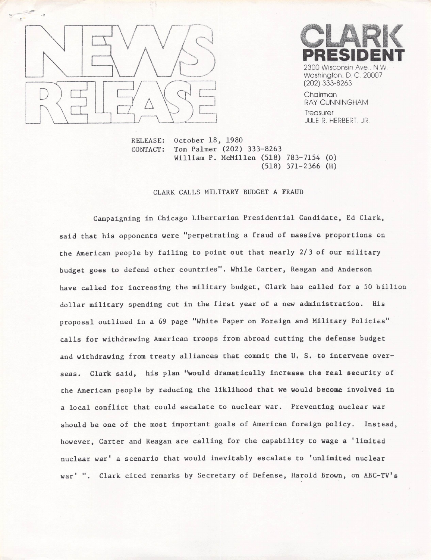



Washington, D. C. 20007 (202) 333-8263

Chairman RAY CUNNINGHAM **Treasurer** JULE R. HERBERT, JR

October 18, 1980 Tom Palmer (202) 333-8263 William P. McMillen (518) 783-7154 (0)  $(518)$  371-2366 (H) RELEASE: CONTACT:

## CLARK CALLS MILITARY BUDGET A FRAUD

Campaigning in Chicago Libertarian Presidential Candidate, Ed Clark, said that his opponents were "perpetrating a fraud of massive proportions on the American people by failing to point out that nearly 2/3 of our military budget goes to defend other countries". While Carter, Reagan and Anderson have called for increasing the military budget, Clark has called for a 50 billion dollar military spending cut in the first year of a new administration. His proposal outlined in a 69 page "White Paper on Foreign and Military Policies" calls for withdrawing American troops from abroad cutting the defense budget and withdrawing from treaty alliances that commit the U. S. to intervene overseas. Clark said, his plan "would dramatically increase the real security of the American people by reducing the llkllhood that we would become involved in a local conflict that could escalate to nuclear war. Preventing nuclear war should be one of the most important goals of American foreign policy. Instead, however, Carter and Reagan are calling for the capability to wage a 'limited nuclear war' a scenario that would inevitably escalate to 'unlimited nuclear war' ". Clark cited remarks by Secretary of Defense, Harold Brown, on ABC-TV's